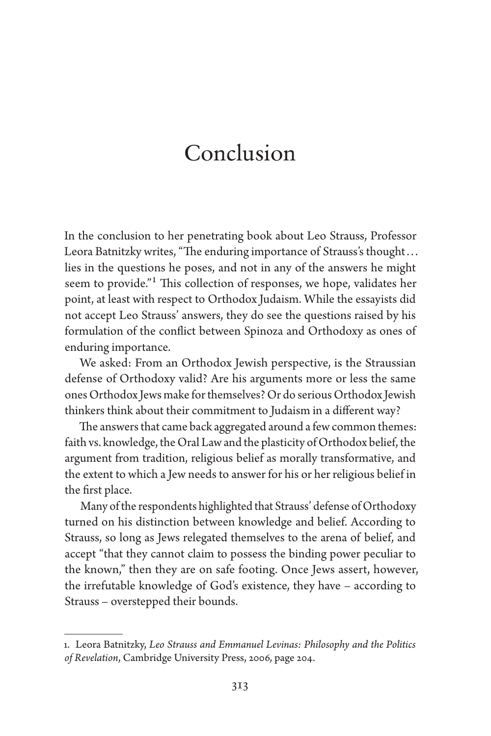## Conclusion

In the conclusion to her penetrating book about Leo Strauss, Professor Leora Batnitzky writes, "The enduring importance of Strauss's thought... lies in the questions he poses, and not in any of the answers he might seem to provide."1 This collection of responses, we hope, validates her point, at least with respect to Orthodox Judaism. While the essayists did not accept Leo Strauss' answers, they do see the questions raised by his formulation of the conflict between Spinoza and Orthodoxy as ones of enduring importance.

We asked: From an Orthodox Jewish perspective, is the Straussian defense of Orthodoxy valid? Are his arguments more or less the same ones Orthodox Jews make for themselves? Or do serious Orthodox Jewish thinkers think about their commitment to Judaism in a different way?

The answers that came back aggregated around a few common themes: faith vs. knowledge, the Oral Law and the plasticity of Orthodox belief, the argument from tradition, religious belief as morally transformative, and the extent to which a Jew needs to answer for his or her religious belief in the first place.

Many of the respondents highlighted that Strauss' defense of Orthodoxy turned on his distinction between knowledge and belief. According to Strauss, so long as Jews relegated themselves to the arena of belief, and accept "that they cannot claim to possess the binding power peculiar to the known," then they are on safe footing. Once Jews assert, however, the irrefutable knowledge of God's existence, they have – according to Strauss – overstepped their bounds.

<sup>1.</sup> Leora Batnitzky, *Leo Strauss and Emmanuel Levinas: Philosophy and the Politics of Revelation*, Cambridge University Press, 2006, page 204.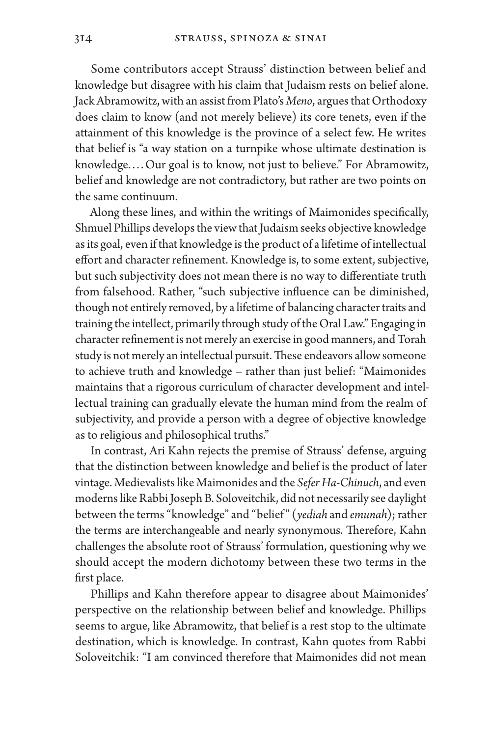Some contributors accept Strauss' distinction between belief and knowledge but disagree with his claim that Judaism rests on belief alone. Jack Abramowitz, with an assist from Plato's *Meno*, argues that Orthodoxy does claim to know (and not merely believe) its core tenets, even if the attainment of this knowledge is the province of a select few. He writes that belief is "a way station on a turnpike whose ultimate destination is knowledge.... Our goal is to know, not just to believe." For Abramowitz, belief and knowledge are not contradictory, but rather are two points on the same continuum.

Along these lines, and within the writings of Maimonides specifically, Shmuel Phillips develops the view that Judaism seeks objective knowledge as its goal, even if that knowledge is the product of a lifetime of intellectual effort and character refinement. Knowledge is, to some extent, subjective, but such subjectivity does not mean there is no way to differentiate truth from falsehood. Rather, "such subjective influence can be diminished, though not entirely removed, by a lifetime of balancing character traits and training the intellect, primarily through study of the Oral Law." Engaging in character refinement is not merely an exercise in good manners, and Torah study is not merely an intellectual pursuit. These endeavors allow someone to achieve truth and knowledge – rather than just belief: "Maimonides maintains that a rigorous curriculum of character development and intellectual training can gradually elevate the human mind from the realm of subjectivity, and provide a person with a degree of objective knowledge as to religious and philosophical truths."

In contrast, Ari Kahn rejects the premise of Strauss' defense, arguing that the distinction between knowledge and belief is the product of later vintage. Medievalists like Maimonides and the *Sefer Ha-Chinuch*, and even moderns like Rabbi Joseph B. Soloveitchik, did not necessarily see daylight between the terms "knowledge" and "belief " (*yediah* and *emunah*); rather the terms are interchangeable and nearly synonymous. Therefore, Kahn challenges the absolute root of Strauss' formulation, questioning why we should accept the modern dichotomy between these two terms in the first place.

Phillips and Kahn therefore appear to disagree about Maimonides' perspective on the relationship between belief and knowledge. Phillips seems to argue, like Abramowitz, that belief is a rest stop to the ultimate destination, which is knowledge. In contrast, Kahn quotes from Rabbi Soloveitchik: "I am convinced therefore that Maimonides did not mean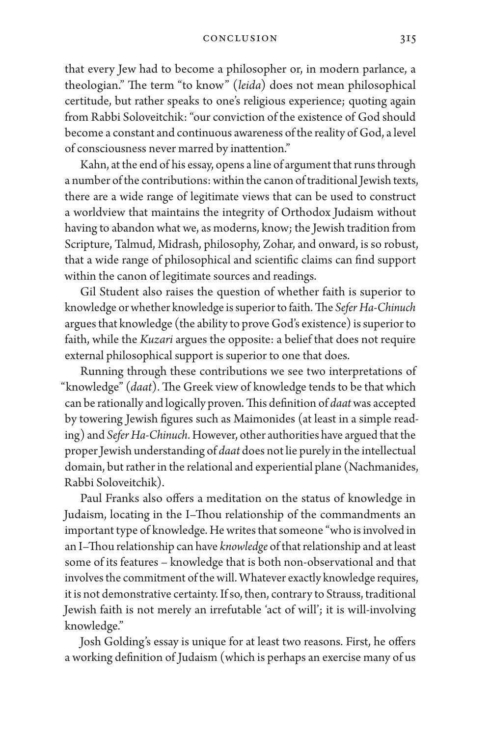that every Jew had to become a philosopher or, in modern parlance, a theologian." The term "to know" (*leida*) does not mean philosophical certitude, but rather speaks to one's religious experience; quoting again from Rabbi Soloveitchik: "our conviction of the existence of God should become a constant and continuous awareness of the reality of God, a level of consciousness never marred by inattention."

Kahn, at the end of his essay, opens a line of argument that runs through a number of the contributions: within the canon of traditional Jewish texts, there are a wide range of legitimate views that can be used to construct a worldview that maintains the integrity of Orthodox Judaism without having to abandon what we, as moderns, know; the Jewish tradition from Scripture, Talmud, Midrash, philosophy, Zohar, and onward, is so robust, that a wide range of philosophical and scientific claims can find support within the canon of legitimate sources and readings.

Gil Student also raises the question of whether faith is superior to knowledge or whether knowledge is superior to faith. The *Sefer Ha-Chinuch* argues that knowledge (the ability to prove God's existence) is superior to faith, while the *Kuzari* argues the opposite: a belief that does not require external philosophical support is superior to one that does.

Running through these contributions we see two interpretations of "knowledge" (*daat*). The Greek view of knowledge tends to be that which can be rationally and logically proven. This definition of *daat* was accepted by towering Jewish figures such as Maimonides (at least in a simple reading) and *Sefer Ha-Chinuch*. However, other authorities have argued that the proper Jewish understanding of *daat* does not lie purely in the intellectual domain, but rather in the relational and experiential plane (Nachmanides, Rabbi Soloveitchik).

Paul Franks also offers a meditation on the status of knowledge in Judaism, locating in the I–Thou relationship of the commandments an important type of knowledge. He writes that someone "who is involved in an I–Thou relationship can have *knowledge* of that relationship and at least some of its features – knowledge that is both non-observational and that involves the commitment of the will. Whatever exactly knowledge requires, it is not demonstrative certainty. If so, then, contrary to Strauss, traditional Jewish faith is not merely an irrefutable 'act of will'; it is will-involving knowledge."

Josh Golding's essay is unique for at least two reasons. First, he offers a working definition of Judaism (which is perhaps an exercise many of us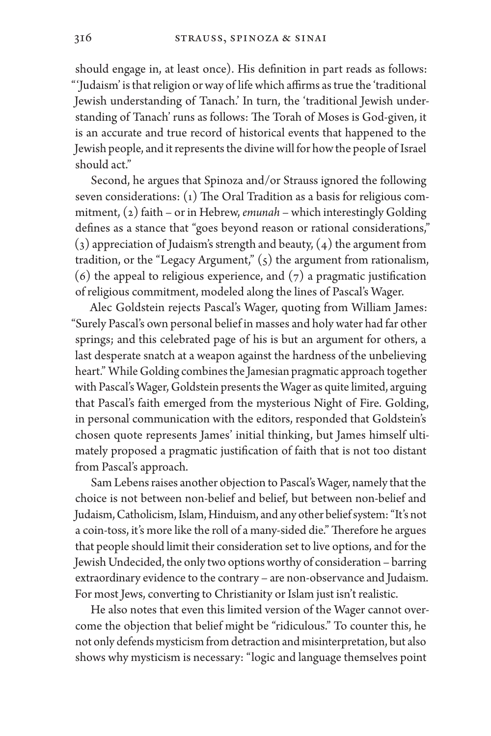should engage in, at least once). His definition in part reads as follows: "'Judaism' is that religion or way of life which affirms as true the 'traditional Jewish understanding of Tanach.' In turn, the 'traditional Jewish understanding of Tanach' runs as follows: The Torah of Moses is God-given, it is an accurate and true record of historical events that happened to the Jewish people, and it represents the divine will for how the people of Israel should act."

Second, he argues that Spinoza and/or Strauss ignored the following seven considerations: (1) The Oral Tradition as a basis for religious commitment, (2) faith – or in Hebrew, *emunah* – which interestingly Golding defines as a stance that "goes beyond reason or rational considerations,"  $(3)$  appreciation of Judaism's strength and beauty,  $(4)$  the argument from tradition, or the "Legacy Argument,"  $(5)$  the argument from rationalism, (6) the appeal to religious experience, and  $(7)$  a pragmatic justification of religious commitment, modeled along the lines of Pascal's Wager.

Alec Goldstein rejects Pascal's Wager, quoting from William James: "Surely Pascal's own personal belief in masses and holy water had far other springs; and this celebrated page of his is but an argument for others, a last desperate snatch at a weapon against the hardness of the unbelieving heart." While Golding combines the Jamesian pragmatic approach together with Pascal's Wager, Goldstein presents the Wager as quite limited, arguing that Pascal's faith emerged from the mysterious Night of Fire. Golding, in personal communication with the editors, responded that Goldstein's chosen quote represents James' initial thinking, but James himself ultimately proposed a pragmatic justification of faith that is not too distant from Pascal's approach.

Sam Lebens raises another objection to Pascal's Wager, namely that the choice is not between non-belief and belief, but between non-belief and Judaism, Catholicism, Islam, Hinduism, and any other belief system: "It's not a coin-toss, it's more like the roll of a many-sided die." Therefore he argues that people should limit their consideration set to live options, and for the Jewish Undecided, the only two options worthy of consideration – barring extraordinary evidence to the contrary – are non-observance and Judaism. For most Jews, converting to Christianity or Islam just isn't realistic.

He also notes that even this limited version of the Wager cannot overcome the objection that belief might be "ridiculous." To counter this, he not only defends mysticism from detraction and misinterpretation, but also shows why mysticism is necessary: "logic and language themselves point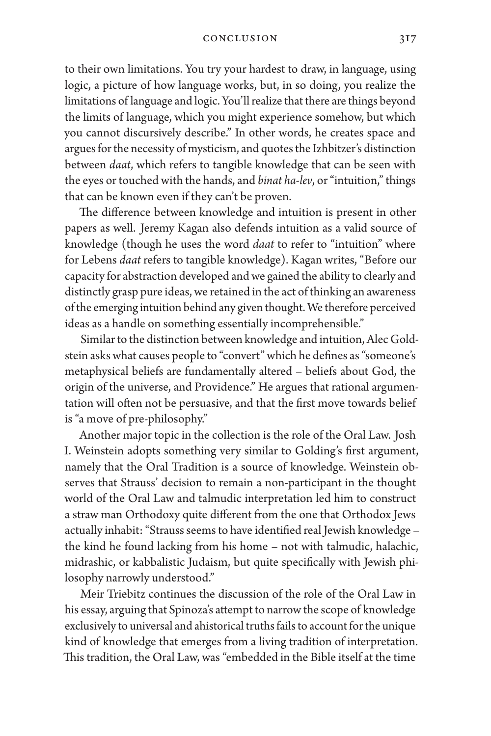to their own limitations. You try your hardest to draw, in language, using logic, a picture of how language works, but, in so doing, you realize the limitations of language and logic. You'll realize that there are things beyond the limits of language, which you might experience somehow, but which you cannot discursively describe." In other words, he creates space and argues for the necessity of mysticism, and quotes the Izhbitzer's distinction between *daat*, which refers to tangible knowledge that can be seen with the eyes or touched with the hands, and *binat ha-lev*, or "intuition," things that can be known even if they can't be proven.

The difference between knowledge and intuition is present in other papers as well. Jeremy Kagan also defends intuition as a valid source of knowledge (though he uses the word *daat* to refer to "intuition" where for Lebens *daat* refers to tangible knowledge). Kagan writes, "Before our capacity for abstraction developed and we gained the ability to clearly and distinctly grasp pure ideas, we retained in the act of thinking an awareness of the emerging intuition behind any given thought. We therefore perceived ideas as a handle on something essentially incomprehensible."

Similar to the distinction between knowledge and intuition, Alec Goldstein asks what causes people to "convert" which he defines as "someone's metaphysical beliefs are fundamentally altered – beliefs about God, the origin of the universe, and Providence." He argues that rational argumentation will often not be persuasive, and that the first move towards belief is "a move of pre-philosophy."

Another major topic in the collection is the role of the Oral Law. Josh I. Weinstein adopts something very similar to Golding's first argument, namely that the Oral Tradition is a source of knowledge. Weinstein observes that Strauss' decision to remain a non-participant in the thought world of the Oral Law and talmudic interpretation led him to construct a straw man Orthodoxy quite different from the one that Orthodox Jews actually inhabit: "Strauss seems to have identified real Jewish knowledge – the kind he found lacking from his home – not with talmudic, halachic, midrashic, or kabbalistic Judaism, but quite specifically with Jewish philosophy narrowly understood."

Meir Triebitz continues the discussion of the role of the Oral Law in his essay, arguing that Spinoza's attempt to narrow the scope of knowledge exclusively to universal and ahistorical truths fails to account for the unique kind of knowledge that emerges from a living tradition of interpretation. This tradition, the Oral Law, was "embedded in the Bible itself at the time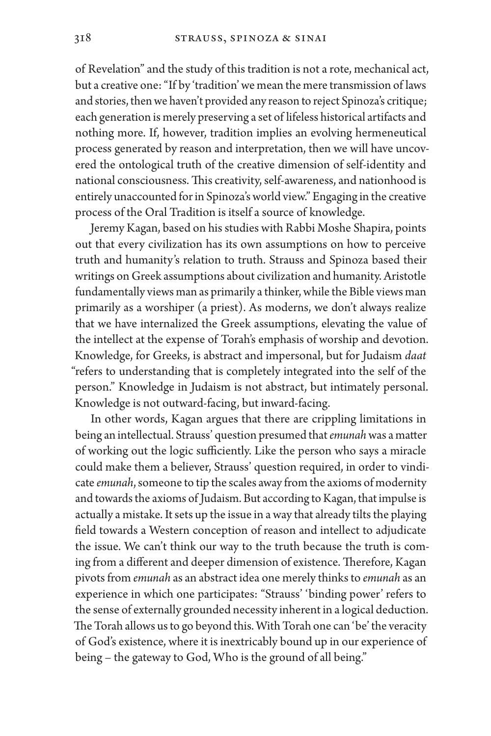of Revelation" and the study of this tradition is not a rote, mechanical act, but a creative one: "If by 'tradition' we mean the mere transmission of laws and stories, then we haven't provided any reason to reject Spinoza's critique; each generation is merely preserving a set of lifeless historical artifacts and nothing more. If, however, tradition implies an evolving hermeneutical process generated by reason and interpretation, then we will have uncovered the ontological truth of the creative dimension of self-identity and national consciousness. This creativity, self-awareness, and nationhood is entirely unaccounted for in Spinoza's world view." Engaging in the creative process of the Oral Tradition is itself a source of knowledge.

Jeremy Kagan, based on his studies with Rabbi Moshe Shapira, points out that every civilization has its own assumptions on how to perceive truth and humanity's relation to truth. Strauss and Spinoza based their writings on Greek assumptions about civilization and humanity. Aristotle fundamentally views man as primarily a thinker, while the Bible views man primarily as a worshiper (a priest). As moderns, we don't always realize that we have internalized the Greek assumptions, elevating the value of the intellect at the expense of Torah's emphasis of worship and devotion. Knowledge, for Greeks, is abstract and impersonal, but for Judaism *daat* "refers to understanding that is completely integrated into the self of the person." Knowledge in Judaism is not abstract, but intimately personal. Knowledge is not outward-facing, but inward-facing.

In other words, Kagan argues that there are crippling limitations in being an intellectual. Strauss' question presumed that *emunah* was a matter of working out the logic sufficiently. Like the person who says a miracle could make them a believer, Strauss' question required, in order to vindicate *emunah*, someone to tip the scales away from the axioms of modernity and towards the axioms of Judaism. But according to Kagan, that impulse is actually a mistake. It sets up the issue in a way that already tilts the playing field towards a Western conception of reason and intellect to adjudicate the issue. We can't think our way to the truth because the truth is coming from a different and deeper dimension of existence. Therefore, Kagan pivots from *emunah* as an abstract idea one merely thinks to *emunah* as an experience in which one participates: "Strauss' 'binding power' refers to the sense of externally grounded necessity inherent in a logical deduction. The Torah allows us to go beyond this. With Torah one can 'be' the veracity of God's existence, where it is inextricably bound up in our experience of being – the gateway to God, Who is the ground of all being."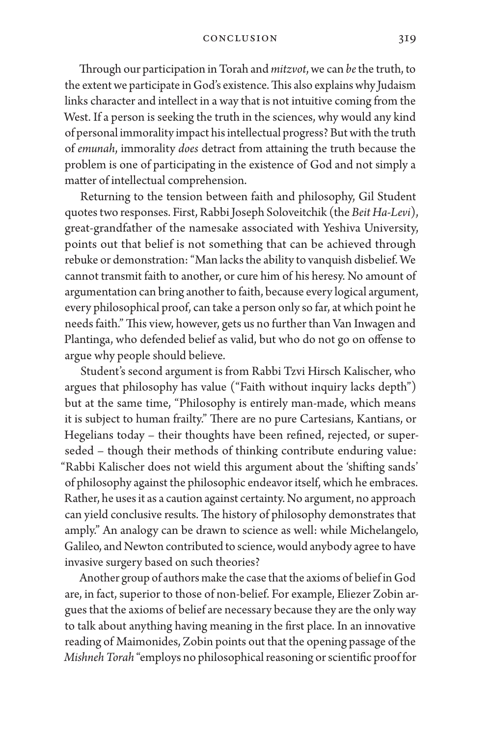Through our participation in Torah and *mitzvot*, we can *be* the truth, to the extent we participate in God's existence. This also explains why Judaism links character and intellect in a way that is not intuitive coming from the West. If a person is seeking the truth in the sciences, why would any kind of personal immorality impact his intellectual progress? But with the truth of *emunah*, immorality *does* detract from attaining the truth because the problem is one of participating in the existence of God and not simply a matter of intellectual comprehension.

Returning to the tension between faith and philosophy, Gil Student quotes two responses. First, Rabbi Joseph Soloveitchik (the *Beit Ha-Levi*), great-grandfather of the namesake associated with Yeshiva University, points out that belief is not something that can be achieved through rebuke or demonstration: "Man lacks the ability to vanquish disbelief. We cannot transmit faith to another, or cure him of his heresy. No amount of argumentation can bring another to faith, because every logical argument, every philosophical proof, can take a person only so far, at which point he needs faith." This view, however, gets us no further than Van Inwagen and Plantinga, who defended belief as valid, but who do not go on offense to argue why people should believe.

Student's second argument is from Rabbi Tzvi Hirsch Kalischer, who argues that philosophy has value ("Faith without inquiry lacks depth") but at the same time, "Philosophy is entirely man-made, which means it is subject to human frailty." There are no pure Cartesians, Kantians, or Hegelians today – their thoughts have been refined, rejected, or superseded – though their methods of thinking contribute enduring value: "Rabbi Kalischer does not wield this argument about the 'shifting sands' of philosophy against the philosophic endeavor itself, which he embraces. Rather, he uses it as a caution against certainty. No argument, no approach can yield conclusive results. The history of philosophy demonstrates that amply." An analogy can be drawn to science as well: while Michelangelo, Galileo, and Newton contributed to science, would anybody agree to have invasive surgery based on such theories?

Another group of authors make the case that the axioms of belief in God are, in fact, superior to those of non-belief. For example, Eliezer Zobin argues that the axioms of belief are necessary because they are the only way to talk about anything having meaning in the first place. In an innovative reading of Maimonides, Zobin points out that the opening passage of the *Mishneh Torah* "employs no philosophical reasoning or scientific proof for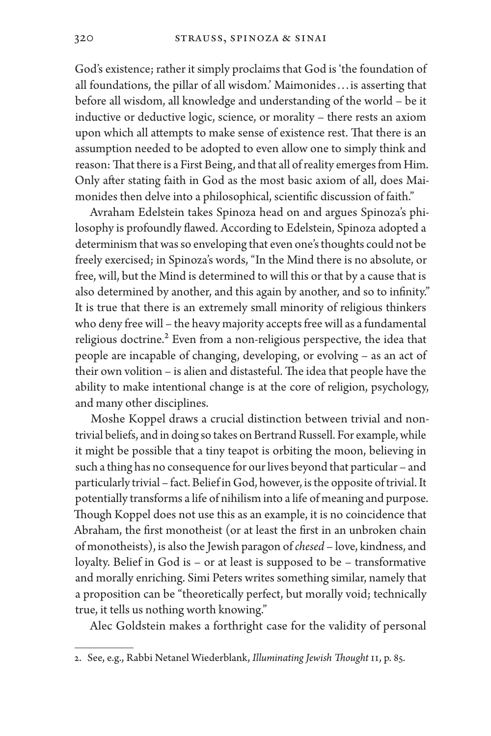God's existence; rather it simply proclaims that God is 'the foundation of all foundations, the pillar of all wisdom.' Maimonides. . . is asserting that before all wisdom, all knowledge and understanding of the world – be it inductive or deductive logic, science, or morality – there rests an axiom upon which all attempts to make sense of existence rest. That there is an assumption needed to be adopted to even allow one to simply think and reason: That there is a First Being, and that all of reality emerges from Him. Only after stating faith in God as the most basic axiom of all, does Maimonides then delve into a philosophical, scientific discussion of faith."

Avraham Edelstein takes Spinoza head on and argues Spinoza's philosophy is profoundly flawed. According to Edelstein, Spinoza adopted a determinism that was so enveloping that even one's thoughts could not be freely exercised; in Spinoza's words, "In the Mind there is no absolute, or free, will, but the Mind is determined to will this or that by a cause that is also determined by another, and this again by another, and so to infinity." It is true that there is an extremely small minority of religious thinkers who deny free will – the heavy majority accepts free will as a fundamental religious doctrine.<sup>2</sup> Even from a non-religious perspective, the idea that people are incapable of changing, developing, or evolving – as an act of their own volition – is alien and distasteful. The idea that people have the ability to make intentional change is at the core of religion, psychology, and many other disciplines.

Moshe Koppel draws a crucial distinction between trivial and nontrivial beliefs, and in doing so takes on Bertrand Russell. For example, while it might be possible that a tiny teapot is orbiting the moon, believing in such a thing has no consequence for our lives beyond that particular – and particularly trivial – fact. Belief in God, however, is the opposite of trivial. It potentially transforms a life of nihilism into a life of meaning and purpose. Though Koppel does not use this as an example, it is no coincidence that Abraham, the first monotheist (or at least the first in an unbroken chain of monotheists), is also the Jewish paragon of *chesed* – love, kindness, and loyalty. Belief in God is – or at least is supposed to be – transformative and morally enriching. Simi Peters writes something similar, namely that a proposition can be "theoretically perfect, but morally void; technically true, it tells us nothing worth knowing."

Alec Goldstein makes a forthright case for the validity of personal

<sup>2.</sup> See, e.g., Rabbi Netanel Wiederblank, *Illuminating Jewish Thought* II, p. 85.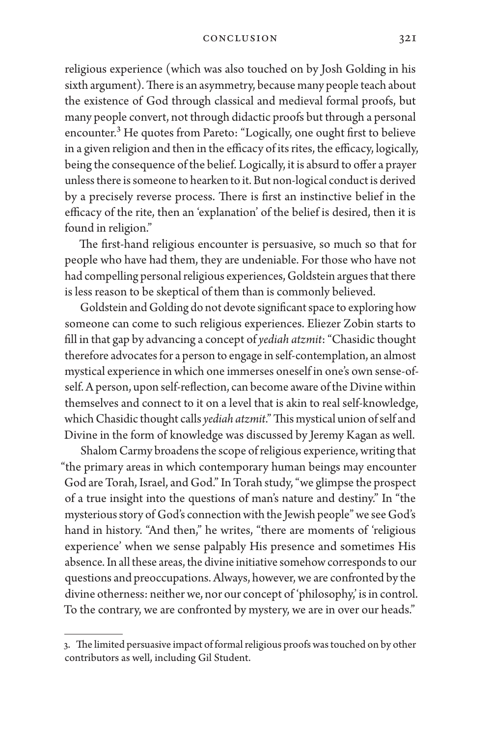religious experience (which was also touched on by Josh Golding in his sixth argument). There is an asymmetry, because many people teach about the existence of God through classical and medieval formal proofs, but many people convert, not through didactic proofs but through a personal encounter.<sup>3</sup> He quotes from Pareto: "Logically, one ought first to believe in a given religion and then in the efficacy of its rites, the efficacy, logically, being the consequence of the belief. Logically, it is absurd to offer a prayer unless there is someone to hearken to it. But non-logical conduct is derived by a precisely reverse process. There is first an instinctive belief in the efficacy of the rite, then an 'explanation' of the belief is desired, then it is found in religion."

The first-hand religious encounter is persuasive, so much so that for people who have had them, they are undeniable. For those who have not had compelling personal religious experiences, Goldstein argues that there is less reason to be skeptical of them than is commonly believed.

Goldstein and Golding do not devote significant space to exploring how someone can come to such religious experiences. Eliezer Zobin starts to fill in that gap by advancing a concept of *yediah atzmit*: "Chasidic thought therefore advocates for a person to engage in self-contemplation, an almost mystical experience in which one immerses oneself in one's own sense-ofself. A person, upon self-reflection, can become aware of the Divine within themselves and connect to it on a level that is akin to real self-knowledge, which Chasidic thought calls *yediah atzmit*." This mystical union of self and Divine in the form of knowledge was discussed by Jeremy Kagan as well.

Shalom Carmy broadens the scope of religious experience, writing that "the primary areas in which contemporary human beings may encounter God are Torah, Israel, and God." In Torah study, "we glimpse the prospect of a true insight into the questions of man's nature and destiny." In "the mysterious story of God's connection with the Jewish people" we see God's hand in history. "And then," he writes, "there are moments of 'religious experience' when we sense palpably His presence and sometimes His absence. In all these areas, the divine initiative somehow corresponds to our questions and preoccupations. Always, however, we are confronted by the divine otherness: neither we, nor our concept of 'philosophy,' is in control. To the contrary, we are confronted by mystery, we are in over our heads."

<sup>3.</sup> The limited persuasive impact of formal religious proofs was touched on by other contributors as well, including Gil Student.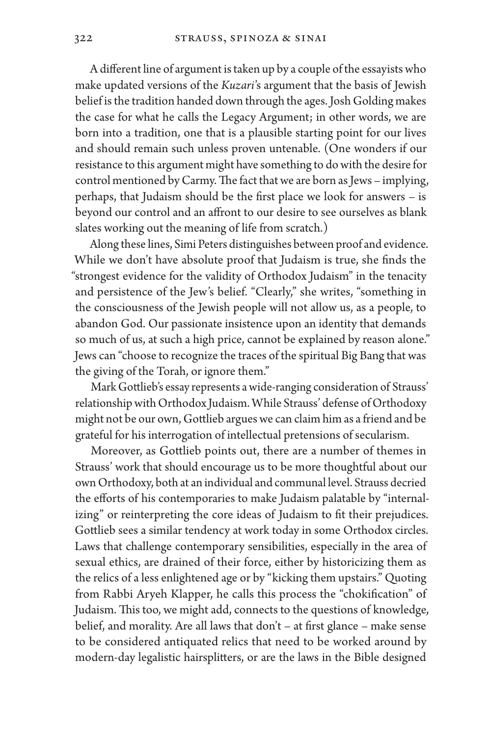A different line of argument is taken up by a couple of the essayists who make updated versions of the *Kuzari*'s argument that the basis of Jewish belief is the tradition handed down through the ages. Josh Golding makes the case for what he calls the Legacy Argument; in other words, we are born into a tradition, one that is a plausible starting point for our lives and should remain such unless proven untenable. (One wonders if our resistance to this argument might have something to do with the desire for control mentioned by Carmy. The fact that we are born as Jews – implying, perhaps, that Judaism should be the first place we look for answers – is beyond our control and an affront to our desire to see ourselves as blank slates working out the meaning of life from scratch.)

Along these lines, Simi Peters distinguishes between proof and evidence. While we don't have absolute proof that Judaism is true, she finds the "strongest evidence for the validity of Orthodox Judaism" in the tenacity and persistence of the Jew's belief. "Clearly," she writes, "something in the consciousness of the Jewish people will not allow us, as a people, to abandon God. Our passionate insistence upon an identity that demands so much of us, at such a high price, cannot be explained by reason alone." Jews can "choose to recognize the traces of the spiritual Big Bang that was the giving of the Torah, or ignore them."

Mark Gottlieb's essay represents a wide-ranging consideration of Strauss' relationship with Orthodox Judaism. While Strauss' defense of Orthodoxy might not be our own, Gottlieb argues we can claim him as a friend and be grateful for his interrogation of intellectual pretensions of secularism.

Moreover, as Gottlieb points out, there are a number of themes in Strauss' work that should encourage us to be more thoughtful about our own Orthodoxy, both at an individual and communal level. Strauss decried the efforts of his contemporaries to make Judaism palatable by "internalizing" or reinterpreting the core ideas of Judaism to fit their prejudices. Gottlieb sees a similar tendency at work today in some Orthodox circles. Laws that challenge contemporary sensibilities, especially in the area of sexual ethics, are drained of their force, either by historicizing them as the relics of a less enlightened age or by "kicking them upstairs." Quoting from Rabbi Aryeh Klapper, he calls this process the "chokification" of Judaism. This too, we might add, connects to the questions of knowledge, belief, and morality. Are all laws that don't – at first glance – make sense to be considered antiquated relics that need to be worked around by modern-day legalistic hairsplitters, or are the laws in the Bible designed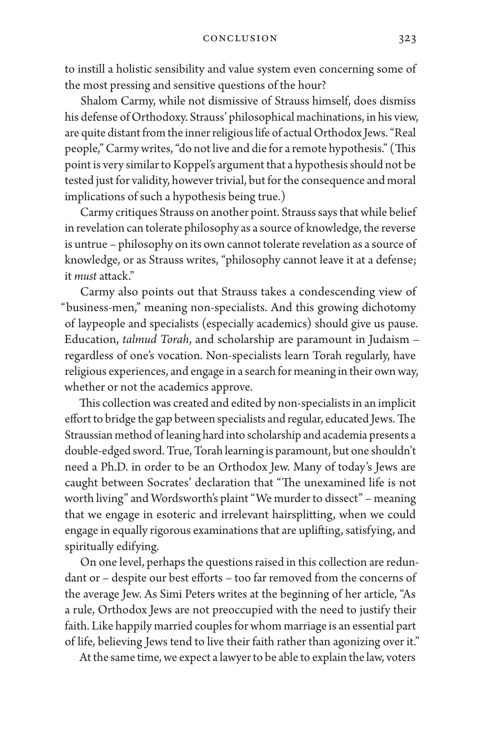to instill a holistic sensibility and value system even concerning some of the most pressing and sensitive questions of the hour?

Shalom Carmy, while not dismissive of Strauss himself, does dismiss his defense of Orthodoxy. Strauss' philosophical machinations, in his view, are quite distant from the inner religious life of actual Orthodox Jews. "Real people," Carmy writes, "do not live and die for a remote hypothesis." (This point is very similar to Koppel's argument that a hypothesis should not be tested just for validity, however trivial, but for the consequence and moral implications of such a hypothesis being true.)

Carmy critiques Strauss on another point. Strauss says that while belief in revelation can tolerate philosophy as a source of knowledge, the reverse is untrue – philosophy on its own cannot tolerate revelation as a source of knowledge, or as Strauss writes, "philosophy cannot leave it at a defense; it *must* attack."

Carmy also points out that Strauss takes a condescending view of "business-men," meaning non-specialists. And this growing dichotomy of laypeople and specialists (especially academics) should give us pause. Education, *talmud Torah*, and scholarship are paramount in Judaism – regardless of one's vocation. Non-specialists learn Torah regularly, have religious experiences, and engage in a search for meaning in their own way, whether or not the academics approve.

This collection was created and edited by non-specialists in an implicit effort to bridge the gap between specialists and regular, educated Jews. The Straussian method of leaning hard into scholarship and academia presents a double-edged sword. True, Torah learning is paramount, but one shouldn't need a Ph.D. in order to be an Orthodox Jew. Many of today's Jews are caught between Socrates' declaration that "The unexamined life is not worth living" and Wordsworth's plaint "We murder to dissect" – meaning that we engage in esoteric and irrelevant hairsplitting, when we could engage in equally rigorous examinations that are uplifting, satisfying, and spiritually edifying.

On one level, perhaps the questions raised in this collection are redundant or – despite our best efforts – too far removed from the concerns of the average Jew. As Simi Peters writes at the beginning of her article, "As a rule, Orthodox Jews are not preoccupied with the need to justify their faith. Like happily married couples for whom marriage is an essential part of life, believing Jews tend to live their faith rather than agonizing over it."

At the same time, we expect a lawyer to be able to explain the law, voters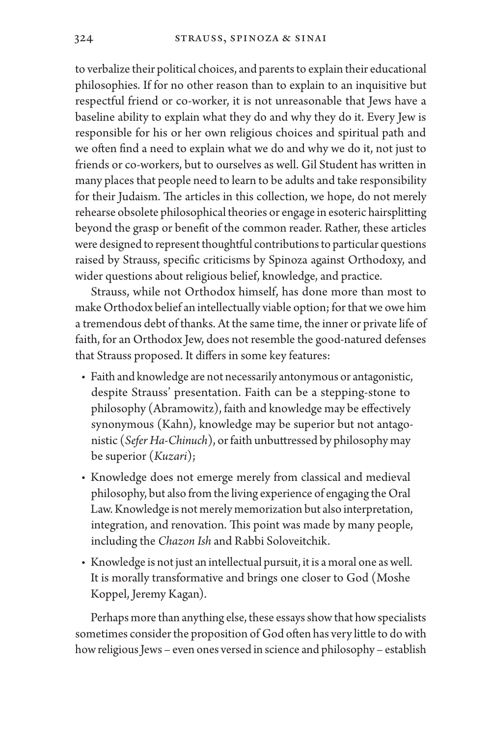to verbalize their political choices, and parents to explain their educational philosophies. If for no other reason than to explain to an inquisitive but respectful friend or co-worker, it is not unreasonable that Jews have a baseline ability to explain what they do and why they do it. Every Jew is responsible for his or her own religious choices and spiritual path and we often find a need to explain what we do and why we do it, not just to friends or co-workers, but to ourselves as well. Gil Student has written in many places that people need to learn to be adults and take responsibility for their Judaism. The articles in this collection, we hope, do not merely rehearse obsolete philosophical theories or engage in esoteric hairsplitting beyond the grasp or benefit of the common reader. Rather, these articles were designed to represent thoughtful contributions to particular questions raised by Strauss, specific criticisms by Spinoza against Orthodoxy, and wider questions about religious belief, knowledge, and practice.

Strauss, while not Orthodox himself, has done more than most to make Orthodox belief an intellectually viable option; for that we owe him a tremendous debt of thanks. At the same time, the inner or private life of faith, for an Orthodox Jew, does not resemble the good-natured defenses that Strauss proposed. It differs in some key features:

- Faith and knowledge are not necessarily antonymous or antagonistic, despite Strauss' presentation. Faith can be a stepping-stone to philosophy (Abramowitz), faith and knowledge may be effectively synonymous (Kahn), knowledge may be superior but not antagonistic (*Sefer Ha-Chinuch*), or faith unbuttressed by philosophy may be superior (*Kuzari*);
- Knowledge does not emerge merely from classical and medieval philosophy, but also from the living experience of engaging the Oral Law. Knowledge is not merely memorization but also interpretation, integration, and renovation. This point was made by many people, including the *Chazon Ish* and Rabbi Soloveitchik.
- Knowledge is not just an intellectual pursuit, it is a moral one as well. It is morally transformative and brings one closer to God (Moshe Koppel, Jeremy Kagan).

Perhaps more than anything else, these essays show that how specialists sometimes consider the proposition of God often has very little to do with how religious Jews – even ones versed in science and philosophy – establish